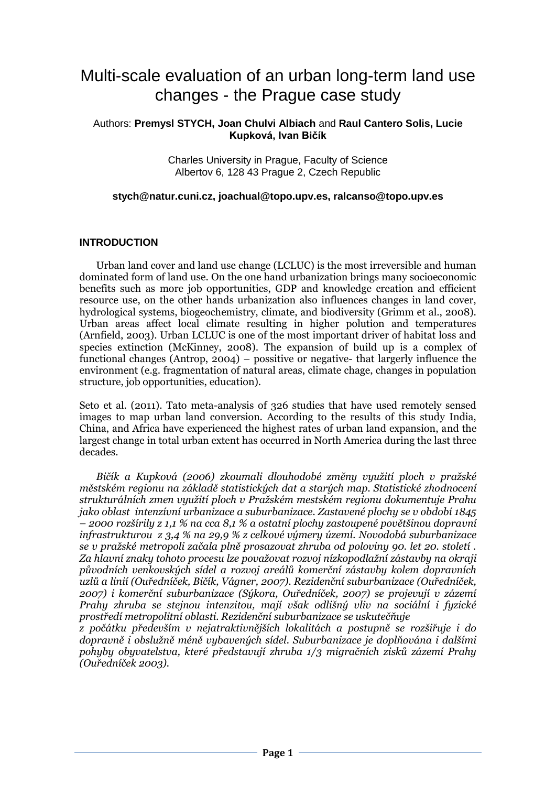# Multi-scale evaluation of an urban long-term land use changes - the Prague case study

#### Authors: **Premysl STYCH, Joan Chulvi Albiach** and **Raul Cantero Solis, Lucie Kupková, Ivan Bičík**

Charles University in Prague, Faculty of Science Albertov 6, 128 43 Prague 2, Czech Republic

#### **stych@natur.cuni.cz, joachual@topo.upv.es, [ralcanso@topo.upv.es](mailto:ralcanso@topo.upv.es)**

#### **INTRODUCTION**

Urban land cover and land use change (LCLUC) is the most irreversible and human dominated form of land use. On the one hand urbanization brings many socioeconomic benefits such as more job opportunities, GDP and knowledge creation and efficient resource use, on the other hands urbanization also influences changes in land cover, hydrological systems, biogeochemistry, climate, and biodiversity (Grimm et al., 2008). Urban areas affect local climate resulting in higher polution and temperatures (Arnfield, 2003). Urban LCLUC is one of the most important driver of habitat loss and species extinction (McKinney, 2008). The expansion of build up is a complex of functional changes (Antrop, 2004) – possitive or negative- that largerly influence the environment (e.g. fragmentation of natural areas, climate chage, changes in population structure, job opportunities, education).

Seto et al. (2011). Tato meta-analysis of 326 studies that have used remotely sensed images to map urban land conversion. According to the results of this study India, China, and Africa have experienced the highest rates of urban land expansion, and the largest change in total urban extent has occurred in North America during the last three decades.

*Bičík a Kupková (2006) zkoumali dlouhodobé změny využití ploch v pražské městském regionu na základě statistických dat a starých map. Statistické zhodnocení strukturálních zmen využití ploch v Pražském mestském regionu dokumentuje Prahu jako oblast intenzívní urbanizace a suburbanizace. Zastavené plochy se v období 1845 – 2000 rozšírily z 1,1 % na cca 8,1 % a ostatní plochy zastoupené povětšinou dopravní infrastrukturou z 3,4 % na 29,9 % z celkové výmery území. Novodobá suburbanizace se v pražské metropoli začala plně prosazovat zhruba od poloviny 90. let 20. století . Za hlavní znaky tohoto procesu lze považovat rozvoj nízkopodlažní zástavby na okraji původních venkovských sídel a rozvoj areálů komerční zástavby kolem dopravních uzlů a linií (Ouředníček, Bičík, Vágner, 2007). Rezidenční suburbanizace (Ouředníček, 2007) i komerční suburbanizace (Sýkora, Ouředníček, 2007) se projevují v zázemí Prahy zhruba se stejnou intenzitou, mají však odlišný vliv na sociální i fyzické prostředí metropolitní oblasti. Rezidenční suburbanizace se uskutečňuje z počátku především v nejatraktivnějších lokalitách a postupně se rozšiřuje i do* 

*dopravně i obslužně méně vybavených sídel. Suburbanizace je doplňována i dalšími pohyby obyvatelstva, které představují zhruba 1/3 migračních zisků zázemí Prahy (Ouředníček 2003).*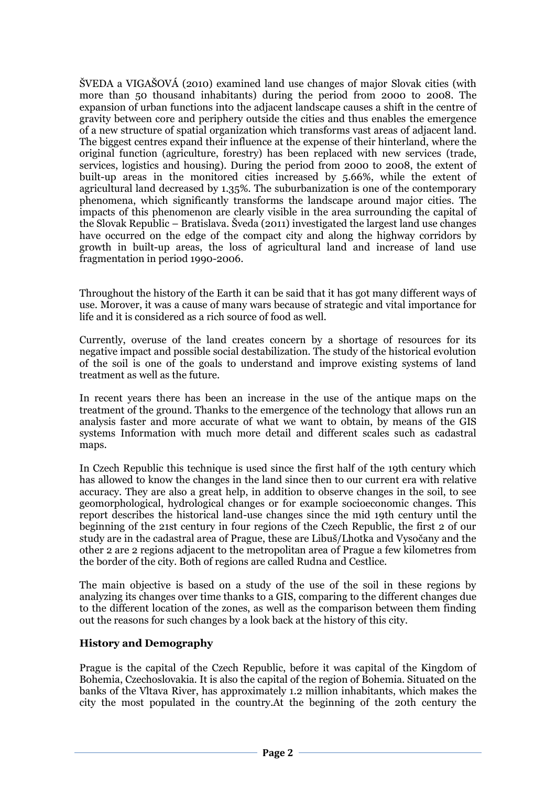ŠVEDA a VIGAŠOVÁ (2010) examined land use changes of major Slovak cities (with more than 50 thousand inhabitants) during the period from 2000 to 2008. The expansion of urban functions into the adjacent landscape causes a shift in the centre of gravity between core and periphery outside the cities and thus enables the emergence of a new structure of spatial organization which transforms vast areas of adjacent land. The biggest centres expand their influence at the expense of their hinterland, where the original function (agriculture, forestry) has been replaced with new services (trade, services, logistics and housing). During the period from 2000 to 2008, the extent of built-up areas in the monitored cities increased by 5.66%, while the extent of agricultural land decreased by 1.35%. The suburbanization is one of the contemporary phenomena, which significantly transforms the landscape around major cities. The impacts of this phenomenon are clearly visible in the area surrounding the capital of the Slovak Republic – Bratislava. Šveda (2011) investigated the largest land use changes have occurred on the edge of the compact city and along the highway corridors by growth in built-up areas, the loss of agricultural land and increase of land use fragmentation in period 1990-2006.

Throughout the history of the Earth it can be said that it has got many different ways of use. Morover, it was a cause of many wars because of strategic and vital importance for life and it is considered as a rich source of food as well.

Currently, overuse of the land creates concern by a shortage of resources for its negative impact and possible social destabilization. The study of the historical evolution of the soil is one of the goals to understand and improve existing systems of land treatment as well as the future.

In recent years there has been an increase in the use of the antique maps on the treatment of the ground. Thanks to the emergence of the technology that allows run an analysis faster and more accurate of what we want to obtain, by means of the GIS systems Information with much more detail and different scales such as cadastral maps.

In Czech Republic this technique is used since the first half of the 19th century which has allowed to know the changes in the land since then to our current era with relative accuracy. They are also a great help, in addition to observe changes in the soil, to see geomorphological, hydrological changes or for example socioeconomic changes. This report describes the historical land-use changes since the mid 19th century until the beginning of the 21st century in four regions of the Czech Republic, the first 2 of our study are in the cadastral area of Prague, these are Libuš/Lhotka and Vysočany and the other 2 are 2 regions adjacent to the metropolitan area of Prague a few kilometres from the border of the city. Both of regions are called Rudna and Cestlice.

The main objective is based on a study of the use of the soil in these regions by analyzing its changes over time thanks to a GIS, comparing to the different changes due to the different location of the zones, as well as the comparison between them finding out the reasons for such changes by a look back at the history of this city.

## **History and Demography**

Prague is the capital of the Czech Republic, before it was capital of the Kingdom of Bohemia, Czechoslovakia. It is also the capital of the region of Bohemia. Situated on the banks of the Vltava River, has approximately 1.2 million inhabitants, which makes the city the most populated in the country.At the beginning of the 20th century the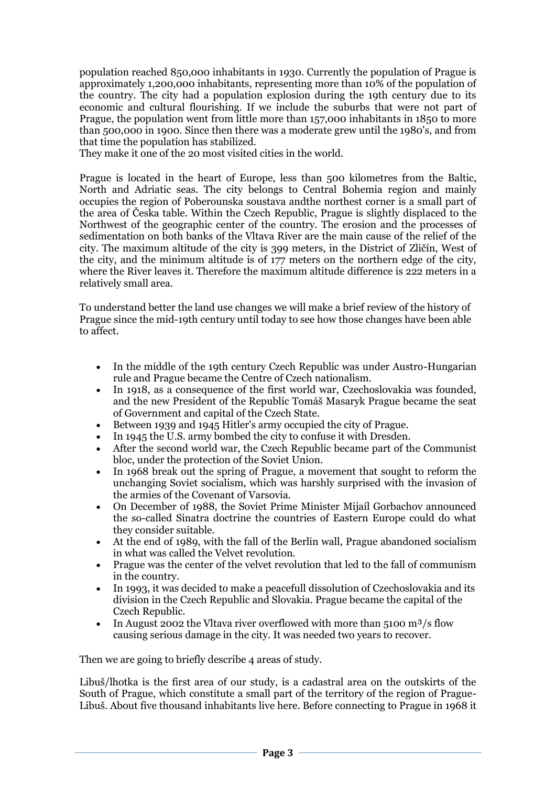population reached 850,000 inhabitants in 1930. Currently the population of Prague is approximately 1,200,000 inhabitants, representing more than 10% of the population of the country. The city had a population explosion during the 19th century due to its economic and cultural flourishing. If we include the suburbs that were not part of Prague, the population went from little more than 157,000 inhabitants in 1850 to more than 500,000 in 1900. Since then there was a moderate grew until the 1980's, and from that time the population has stabilized.

They make it one of the 20 most visited cities in the world.

Prague is located in the heart of Europe, less than 500 kilometres from the Baltic, North and Adriatic seas. The city belongs to Central Bohemia region and mainly occupies the region of Poberounska soustava andthe northest corner is a small part of the area of Česka table. Within the Czech Republic, Prague is slightly displaced to the Northwest of the geographic center of the country. The erosion and the processes of sedimentation on both banks of the Vltava River are the main cause of the relief of the city. The maximum altitude of the city is 399 meters, in the District of Zličín, West of the city, and the minimum altitude is of 177 meters on the northern edge of the city, where the River leaves it. Therefore the maximum altitude difference is 222 meters in a relatively small area.

To understand better the land use changes we will make a brief review of the history of Prague since the mid-19th century until today to see how those changes have been able to affect.

- In the middle of the 19th century Czech Republic was under Austro-Hungarian rule and Prague became the Centre of Czech nationalism.
- In 1918, as a consequence of the first world war, Czechoslovakia was founded, and the new President of the Republic Tomáš Masaryk Prague became the seat of Government and capital of the Czech State.
- Between 1939 and 1945 Hitler's army occupied the city of Prague.
- In 1945 the U.S. army bombed the city to confuse it with Dresden.
- After the second world war, the Czech Republic became part of the Communist bloc, under the protection of the Soviet Union.
- In 1968 break out the spring of Prague, a movement that sought to reform the unchanging Soviet socialism, which was harshly surprised with the invasion of the armies of the Covenant of Varsovia.
- On December of 1988, the Soviet Prime Minister Mijaíl Gorbachov announced the so-called Sinatra doctrine the countries of Eastern Europe could do what they consider suitable.
- At the end of 1989, with the fall of the Berlin wall, Prague abandoned socialism in what was called the Velvet revolution.
- Prague was the center of the velvet revolution that led to the fall of communism in the country.
- In 1993, it was decided to make a peacefull dissolution of Czechoslovakia and its division in the Czech Republic and Slovakia. Prague became the capital of the Czech Republic.
- In August 2002 the Vltava river overflowed with more than  $5100 \text{ m}^3/\text{s}$  flow causing serious damage in the city. It was needed two years to recover.

Then we are going to briefly describe 4 areas of study.

Libuš/lhotka is the first area of our study, is a cadastral area on the outskirts of the South of Prague, which constitute a small part of the territory of the region of Prague-Libuš. About five thousand inhabitants live here. Before connecting to Prague in 1968 it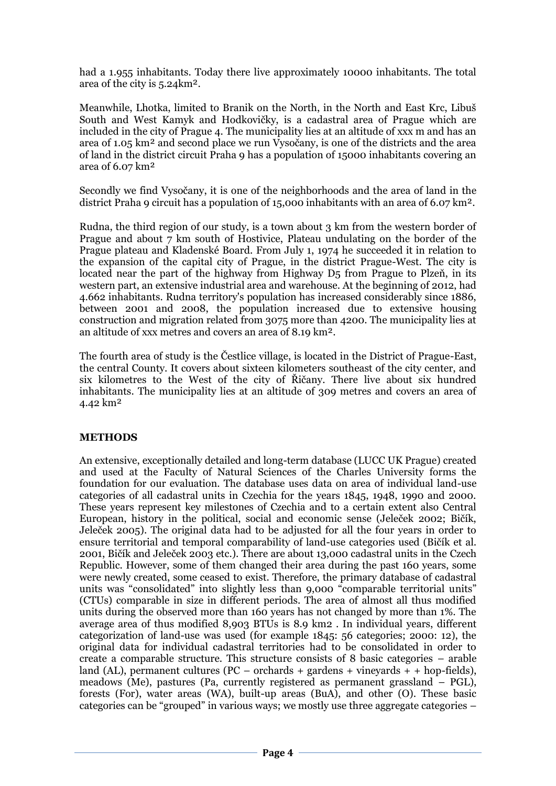had a 1.955 inhabitants. Today there live approximately 10000 inhabitants. The total area of the city is 5.24km².

Meanwhile, Lhotka, limited to Branik on the North, in the North and East Krc, Libuš South and West Kamyk and Hodkovičky, is a cadastral area of Prague which are included in the city of Prague 4. The municipality lies at an altitude of xxx m and has an area of 1.05 km² and second place we run Vysočany, is one of the districts and the area of land in the district circuit Praha 9 has a population of 15000 inhabitants covering an area of 6.07 km²

Secondly we find Vysočany, it is one of the neighborhoods and the area of land in the district Praha 9 circuit has a population of 15,000 inhabitants with an area of 6.07 km².

Rudna, the third region of our study, is a town about 3 km from the western border of Prague and about 7 km south of Hostivice, Plateau undulating on the border of the Prague plateau and Kladenské Board. From July 1, 1974 he succeeded it in relation to the expansion of the capital city of Prague, in the district Prague-West. The city is located near the part of the highway from Highway D5 from Prague to Plzeň, in its western part, an extensive industrial area and warehouse. At the beginning of 2012, had 4.662 inhabitants. Rudna territory's population has increased considerably since 1886, between 2001 and 2008, the population increased due to extensive housing construction and migration related from 3075 more than 4200. The municipality lies at an altitude of xxx metres and covers an area of 8.19 km².

The fourth area of study is the Čestlice village, is located in the District of Prague-East, the central County. It covers about sixteen kilometers southeast of the city center, and six kilometres to the West of the city of Řičany. There live about six hundred inhabitants. The municipality lies at an altitude of 309 metres and covers an area of 4.42 km²

## **METHODS**

An extensive, exceptionally detailed and long-term database (LUCC UK Prague) created and used at the Faculty of Natural Sciences of the Charles University forms the foundation for our evaluation. The database uses data on area of individual land-use categories of all cadastral units in Czechia for the years 1845, 1948, 1990 and 2000. These years represent key milestones of Czechia and to a certain extent also Central European, history in the political, social and economic sense (Jeleček 2002; Bičík, Jeleček 2005). The original data had to be adjusted for all the four years in order to ensure territorial and temporal comparability of land-use categories used (Bičík et al. 2001, Bičík and Jeleček 2003 etc.). There are about 13,000 cadastral units in the Czech Republic. However, some of them changed their area during the past 160 years, some were newly created, some ceased to exist. Therefore, the primary database of cadastral units was "consolidated" into slightly less than 9,000 "comparable territorial units" (CTUs) comparable in size in different periods. The area of almost all thus modified units during the observed more than 160 years has not changed by more than 1%. The average area of thus modified 8,903 BTUs is 8.9 km2 . In individual years, different categorization of land-use was used (for example 1845: 56 categories; 2000: 12), the original data for individual cadastral territories had to be consolidated in order to create a comparable structure. This structure consists of 8 basic categories – arable land (AL), permanent cultures (PC – orchards + gardens + vineyards + + hop-fields), meadows (Me), pastures (Pa, currently registered as permanent grassland – PGL), forests (For), water areas (WA), built-up areas (BuA), and other (O). These basic categories can be "grouped" in various ways; we mostly use three aggregate categories –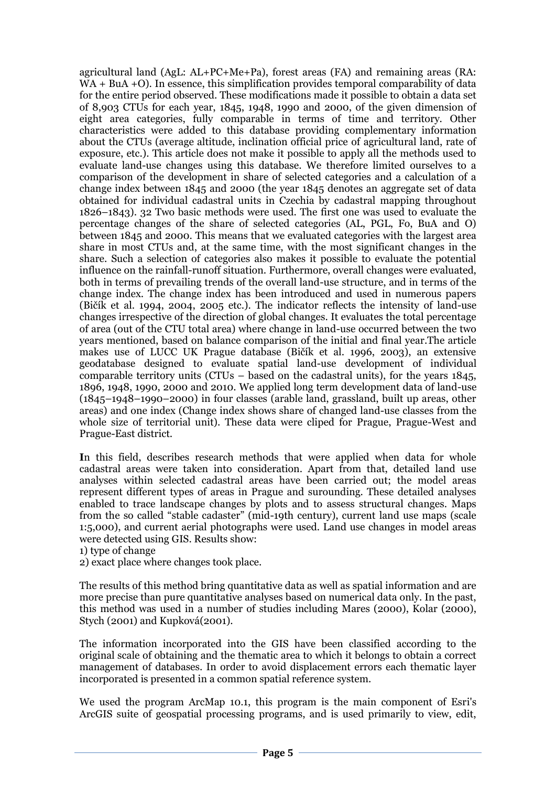agricultural land (AgL: AL+PC+Me+Pa), forest areas (FA) and remaining areas (RA: WA + BuA + O). In essence, this simplification provides temporal comparability of data for the entire period observed. These modifications made it possible to obtain a data set of 8,903 CTUs for each year, 1845, 1948, 1990 and 2000, of the given dimension of eight area categories, fully comparable in terms of time and territory. Other characteristics were added to this database providing complementary information about the CTUs (average altitude, inclination official price of agricultural land, rate of exposure, etc.). This article does not make it possible to apply all the methods used to evaluate land-use changes using this database. We therefore limited ourselves to a comparison of the development in share of selected categories and a calculation of a change index between 1845 and 2000 (the year 1845 denotes an aggregate set of data obtained for individual cadastral units in Czechia by cadastral mapping throughout 1826–1843). 32 Two basic methods were used. The first one was used to evaluate the percentage changes of the share of selected categories (AL, PGL, Fo, BuA and O) between 1845 and 2000. This means that we evaluated categories with the largest area share in most CTUs and, at the same time, with the most significant changes in the share. Such a selection of categories also makes it possible to evaluate the potential influence on the rainfall-runoff situation. Furthermore, overall changes were evaluated, both in terms of prevailing trends of the overall land-use structure, and in terms of the change index. The change index has been introduced and used in numerous papers (Bičík et al. 1994, 2004, 2005 etc.). The indicator reflects the intensity of land-use changes irrespective of the direction of global changes. It evaluates the total percentage of area (out of the CTU total area) where change in land-use occurred between the two years mentioned, based on balance comparison of the initial and final year.The article makes use of LUCC UK Prague database (Bičík et al. 1996, 2003), an extensive geodatabase designed to evaluate spatial land-use development of individual comparable territory units (CTUs – based on the cadastral units), for the years 1845, 1896, 1948, 1990, 2000 and 2010. We applied long term development data of land-use (1845–1948–1990–2000) in four classes (arable land, grassland, built up areas, other areas) and one index (Change index shows share of changed land-use classes from the whole size of territorial unit). These data were cliped for Prague, Prague-West and Prague-East district.

**I**n this field, describes research methods that were applied when data for whole cadastral areas were taken into consideration. Apart from that, detailed land use analyses within selected cadastral areas have been carried out; the model areas represent different types of areas in Prague and surounding. These detailed analyses enabled to trace landscape changes by plots and to assess structural changes. Maps from the so called "stable cadaster" (mid-19th century), current land use maps (scale 1:5,000), and current aerial photographs were used. Land use changes in model areas were detected using GIS. Results show:

1) type of change

2) exact place where changes took place.

The results of this method bring quantitative data as well as spatial information and are more precise than pure quantitative analyses based on numerical data only. In the past, this method was used in a number of studies including Mares (2000), Kolar (2000), Stych (2001) and Kupková(2001).

The information incorporated into the GIS have been classified according to the original scale of obtaining and the thematic area to which it belongs to obtain a correct management of databases. In order to avoid displacement errors each thematic layer incorporated is presented in a common spatial reference system.

We used the program ArcMap 10.1, this program is the main component of Esri's ArcGIS suite of geospatial processing programs, and is used primarily to view, edit,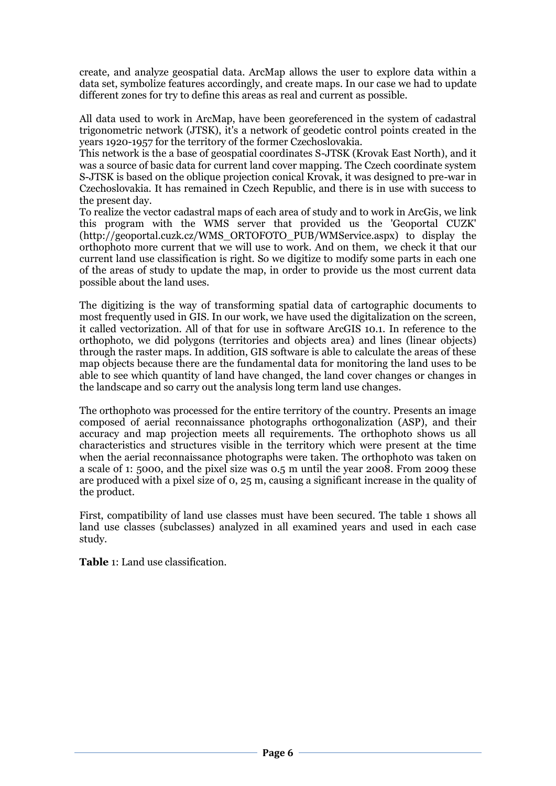create, and analyze geospatial data. ArcMap allows the user to explore data within a data set, symbolize features accordingly, and create maps. In our case we had to update different zones for try to define this areas as real and current as possible.

All data used to work in ArcMap, have been georeferenced in the system of cadastral trigonometric network (JTSK), it's a network of geodetic control points created in the years 1920-1957 for the territory of the former Czechoslovakia.

This network is the a base of geospatial coordinates S-JTSK (Krovak East North), and it was a source of basic data for current land cover mapping. The Czech coordinate system S-JTSK is based on the oblique projection conical Krovak, it was designed to pre-war in Czechoslovakia. It has remained in Czech Republic, and there is in use with success to the present day.

To realize the vector cadastral maps of each area of study and to work in ArcGis, we link this program with the WMS server that provided us the 'Geoportal CUZK' (http://geoportal.cuzk.cz/WMS\_ORTOFOTO\_PUB/WMService.aspx) to display the orthophoto more current that we will use to work. And on them, we check it that our current land use classification is right. So we digitize to modify some parts in each one of the areas of study to update the map, in order to provide us the most current data possible about the land uses.

The digitizing is the way of transforming spatial data of cartographic documents to most frequently used in GIS. In our work, we have used the digitalization on the screen, it called vectorization. All of that for use in software ArcGIS 10.1. In reference to the orthophoto, we did polygons (territories and objects area) and lines (linear objects) through the raster maps. In addition, GIS software is able to calculate the areas of these map objects because there are the fundamental data for monitoring the land uses to be able to see which quantity of land have changed, the land cover changes or changes in the landscape and so carry out the analysis long term land use changes.

The orthophoto was processed for the entire territory of the country. Presents an image composed of aerial reconnaissance photographs orthogonalization (ASP), and their accuracy and map projection meets all requirements. The orthophoto shows us all characteristics and structures visible in the territory which were present at the time when the aerial reconnaissance photographs were taken. The orthophoto was taken on a scale of 1: 5000, and the pixel size was 0.5 m until the year 2008. From 2009 these are produced with a pixel size of 0, 25 m, causing a significant increase in the quality of the product.

First, compatibility of land use classes must have been secured. The table 1 shows all land use classes (subclasses) analyzed in all examined years and used in each case study.

**Table** 1: Land use classification.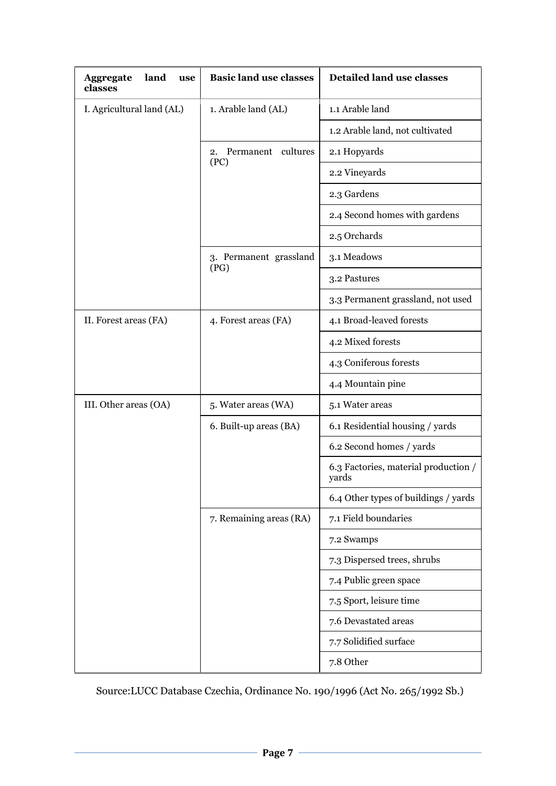| land<br><b>Aggregate</b><br>use<br>classes | <b>Basic land use classes</b> | <b>Detailed land use classes</b>              |  |  |  |
|--------------------------------------------|-------------------------------|-----------------------------------------------|--|--|--|
| I. Agricultural land (AL)                  | 1. Arable land (AL)           | 1.1 Arable land                               |  |  |  |
|                                            |                               | 1.2 Arable land, not cultivated               |  |  |  |
|                                            | Permanent cultures<br>2.      | 2.1 Hopyards                                  |  |  |  |
|                                            | (PC)                          | 2.2 Vineyards                                 |  |  |  |
|                                            |                               | 2.3 Gardens                                   |  |  |  |
|                                            |                               | 2.4 Second homes with gardens                 |  |  |  |
|                                            |                               | 2.5 Orchards                                  |  |  |  |
|                                            | 3. Permanent grassland        | 3.1 Meadows                                   |  |  |  |
|                                            | (PG)                          | 3.2 Pastures                                  |  |  |  |
|                                            |                               | 3.3 Permanent grassland, not used             |  |  |  |
| II. Forest areas (FA)                      | 4. Forest areas (FA)          | 4.1 Broad-leaved forests                      |  |  |  |
|                                            |                               | 4.2 Mixed forests                             |  |  |  |
|                                            |                               | 4.3 Coniferous forests                        |  |  |  |
|                                            |                               | 4.4 Mountain pine                             |  |  |  |
| III. Other areas (OA)                      | 5. Water areas (WA)           | 5.1 Water areas                               |  |  |  |
|                                            | 6. Built-up areas (BA)        | 6.1 Residential housing / yards               |  |  |  |
|                                            |                               | 6.2 Second homes / yards                      |  |  |  |
|                                            |                               | 6.3 Factories, material production /<br>yards |  |  |  |
|                                            |                               | 6.4 Other types of buildings / yards          |  |  |  |
|                                            | 7. Remaining areas (RA)       | 7.1 Field boundaries                          |  |  |  |
|                                            |                               | 7.2 Swamps                                    |  |  |  |
|                                            |                               | 7.3 Dispersed trees, shrubs                   |  |  |  |
|                                            |                               | 7.4 Public green space                        |  |  |  |
|                                            |                               | 7.5 Sport, leisure time                       |  |  |  |
|                                            |                               | 7.6 Devastated areas                          |  |  |  |
|                                            |                               | 7.7 Solidified surface                        |  |  |  |
|                                            |                               | 7.8 Other                                     |  |  |  |

Source:LUCC Database Czechia, Ordinance No. 190/1996 (Act No. 265/1992 Sb.)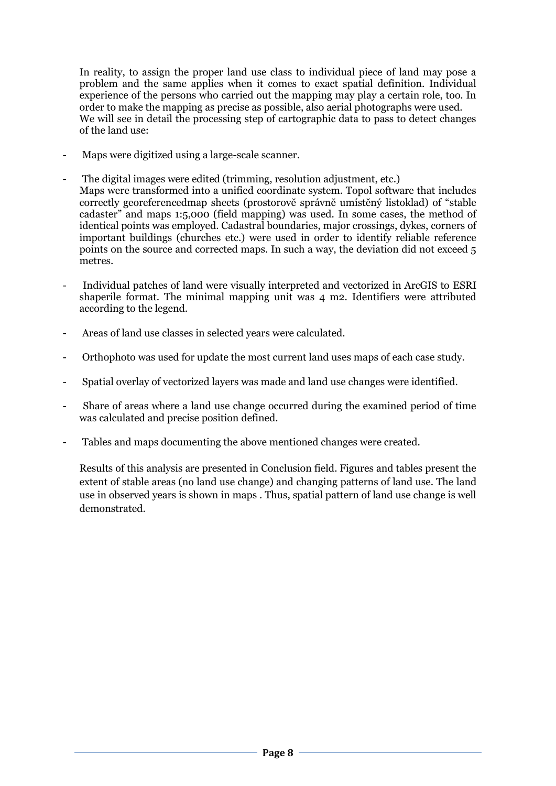In reality, to assign the proper land use class to individual piece of land may pose a problem and the same applies when it comes to exact spatial definition. Individual experience of the persons who carried out the mapping may play a certain role, too. In order to make the mapping as precise as possible, also aerial photographs were used. We will see in detail the processing step of cartographic data to pass to detect changes of the land use:

- Maps were digitized using a large-scale scanner.
- The digital images were edited (trimming, resolution adjustment, etc.) Maps were transformed into a unified coordinate system. Topol software that includes correctly georeferencedmap sheets (prostorově správně umístěný listoklad) of "stable cadaster" and maps 1:5,000 (field mapping) was used. In some cases, the method of identical points was employed. Cadastral boundaries, major crossings, dykes, corners of important buildings (churches etc.) were used in order to identify reliable reference points on the source and corrected maps. In such a way, the deviation did not exceed 5 metres.
- Individual patches of land were visually interpreted and vectorized in ArcGIS to ESRI shaperile format. The minimal mapping unit was 4 m2. Identifiers were attributed according to the legend.
- Areas of land use classes in selected years were calculated.
- Orthophoto was used for update the most current land uses maps of each case study.
- Spatial overlay of vectorized layers was made and land use changes were identified.
- Share of areas where a land use change occurred during the examined period of time was calculated and precise position defined.
- Tables and maps documenting the above mentioned changes were created.

Results of this analysis are presented in Conclusion field. Figures and tables present the extent of stable areas (no land use change) and changing patterns of land use. The land use in observed years is shown in maps . Thus, spatial pattern of land use change is well demonstrated.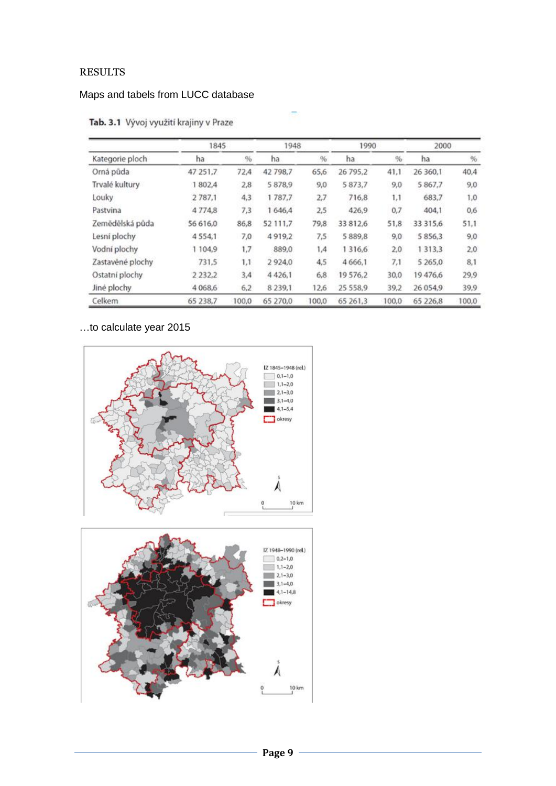# RESULTS

# Maps and tabels from LUCC database

|                  | 1845       |       |             | 1948  |             | 1990   | 2000        |       |
|------------------|------------|-------|-------------|-------|-------------|--------|-------------|-------|
| Kategorie ploch  | ha         | %     | ha.         | %     | ha          | $96 -$ | ha          | $96$  |
| Orná půda        | 47 251,7   | 72,4  | 42 798.7    | 65,6  | 26 795,2    | 41,1   | 26 360.1    | 40,4  |
| Trvalé kultury   | 1802.4     | 2,8   | 5878.9      | 9,0   | 5 873,7     | 9,0    | 5 867,7     | 9,0   |
| Louky            | 2787,1     | 4,3   | 1787,7      | 2.7   | 716,8       | 1,1    | 683,7       | 1,0   |
| Pastvina         | 4 7 7 4 8  | 7,3   | 1 646,4     | 2,5   | 426,9       | 0,7    | 404.1       | 0,6   |
| Zemědělská půda  | 56 616.0   | 86,8  | 52 111,7    | 79,8  | 33 812,6    | 51,8   | 33 315,6    | 51,1  |
| Lesní plochy     | 4554.1     | 7,0   | 4919.2      | 7,5   | 5 8 8 9 , 8 | 9,0    | 5 8 5 6 3   | 9,0   |
| Vodní plochy     | 1 104.9    | 1,7   | 889.0       | 1,4   | 1316,6      | 2,0    | 1 3 1 3 , 3 | 2,0   |
| Zastavěné plochy | 731.5      | 1,1   | 2924.0      | 4,5   | 4 6 6 6, 1  | 7,1    | 5 265,0     | 8.1   |
| Ostatní plochy   | 2 2 3 2 .2 | 3,4   | 4 4 2 6.1   | 6,8   | 19576,2     | 30,0   | 19476,6     | 29,9  |
| Jiné plochy      | 4 0 68.6   | 6,2   | 8 2 3 9 , 1 | 12,6  | 25 558.9    | 39,2   | 26 054.9    | 39,9  |
| Celkem           | 65 238,7   | 100,0 | 65 270,0    | 100,0 | 65 261.3    | 100,0  | 65 226.8    | 100,0 |

# Tab. 3.1 Vývoj využití krajiny v Praze

# …to calculate year 2015



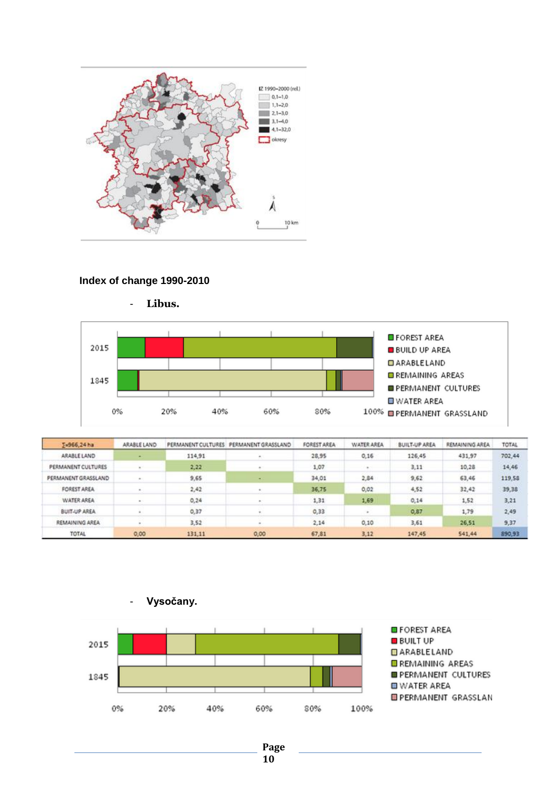

#### **Index of change 1990-2010**



- **Libus.**

| 5-966,24 ha         | ARABLE LAND |        | PERMANENT CULTURES PERMANENT GRASSLAND | FOREST AREA | <b>WATER AREA</b> | <b>BUILT-UP AREA</b> | REMAINING AREA | TOTAL  |
|---------------------|-------------|--------|----------------------------------------|-------------|-------------------|----------------------|----------------|--------|
| ARABLE LAND         |             | 114,91 |                                        | 28,95       | 0,16              | 126,45               | 431,97         | 702,44 |
| PERMANENT CULTURES  |             | 2,22   |                                        | 1,07        |                   | 3,11                 | 10,28          | 14,46  |
| PERMANENT GRASSLAND |             | 9,65   | $\overline{a}$                         | 34,01       | 2,84              | 9,62                 | 63,46          | 119,58 |
| FOREST AREA         |             | 2,42   |                                        | 36,75       | 0,02              | 4,52                 | 32,42          | 39,38  |
| <b>WATER AREA</b>   |             | 0,24   |                                        | 1,31        | 1,69              | 0,14                 | 1,52           | 3,21   |
| <b>BUIT-UP AREA</b> |             | 0,37   |                                        | 0,33        |                   | 0,87                 | 1,79           | 2,49   |
| REMAINING AREA      |             | 3,52   |                                        | 2,14        | 0,10              | 3,61                 | 26,51          | 9,37   |
| TOTAL               | 0,00        | 131,11 | 0,00                                   | 67,81       | 3,12              | 147,45               | 541,44         | 890,93 |



- **Vysočany.**

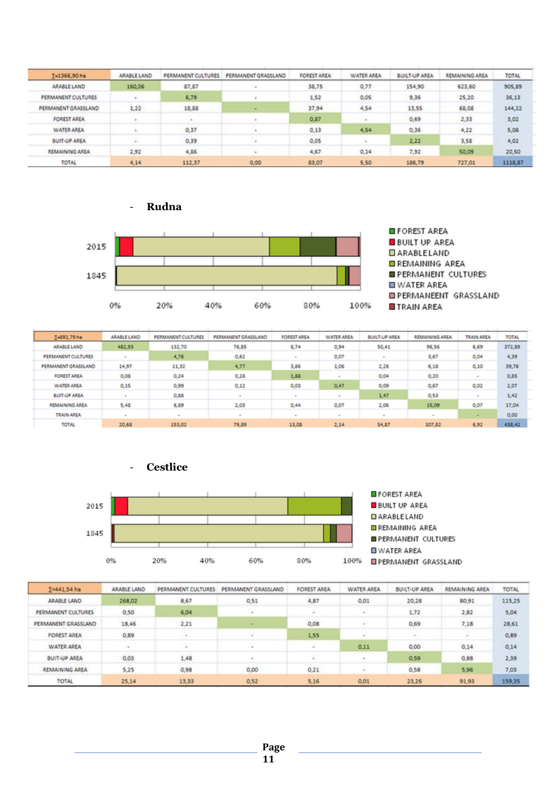| E=1366,90 ha        | ARABLE LAND | PERMANENT CULTURES | PERMANENT GRASSLAND | <b>FOREST AREA</b> | WATER AREA | <b>BUILT-UP AREA</b> | REMAINING AREA | TOTAL   |
|---------------------|-------------|--------------------|---------------------|--------------------|------------|----------------------|----------------|---------|
| ARABLE LAND         | 160,06      | 87,87              |                     | 38,75              | 0,77       | 154,90               | 623,60         | 905,89  |
| PERMANENT CULTURES  |             | 6,79               |                     | 1,52               | 0,05       | 9,36                 | 25,20          | 36,13   |
| PERMANENT GRASSLAND | 1,22        | 18,88              |                     | 37,94              | 4,54       | 13,55                | 68,08          | 144,22  |
| FOREST AREA         |             |                    |                     | 0,87               |            | 0,69.                | 2,33           | 3,02    |
| WATER AREA          |             | 0.37               |                     | 0, 13              | 4,54       | 0.36                 | 4,22           | 5,08    |
| <b>BUIT-UP AREA</b> | ÷.          | 0,39               |                     | 0.05               | $\sim$     | 2,22                 | 3,58           | 4,02    |
| REMAINING AREA      | 2,92        | 4,86               |                     | 4,67               | 0,14       | 7,92                 | 50,09          | 20,50   |
| <b>TOTAL</b>        | 4.14        | 112,37             | 0,00                | 83,07              | 5.50       | 186,79               | 727,01         | 1118,87 |



- **Rudna**

| ∑=892,79 ha         | ARABLE LAND | PERMANENT CULTURES | PERMANENT GRASSLAND | <b>FOREST AREA</b> | <b>WATER AREA</b> | <b>BUILT-UP AREA</b> | REMAINING AREA | <b>TRAIN AREA</b> | <b>TOTAL</b> |
|---------------------|-------------|--------------------|---------------------|--------------------|-------------------|----------------------|----------------|-------------------|--------------|
| <b>ARABLE LAND</b>  | 482,93      | 132,70             | 76,85               | 8,74               | 0.94              | 50,41                | 96.56          | 6,69              | 372,89       |
| PERMANENT CULTURES  |             | 4,76               | 0,62                |                    | 0,07              |                      | 3,67           | 0,04              | 4,39         |
| PERMANENT GRASSLAND | 14.97       | 11,32              | 4,77                | 3,86               | 1,06              | 2,26                 | 6,18           | 0,10              | 39,76        |
| <b>FOREST AREA</b>  | 0,08        | 0,24               | 0,28                | 1,88               | ×                 | 0,04                 | 0,20           |                   | 0,85         |
| <b>WATER AREA</b>   | 0,15        | 0,99               | 0,12                | 0,03               | 0,47              | 0,09                 | 0,67           | 0,02              | 2,07         |
| <b>BUIT-UP AREA</b> |             | 0,88               |                     | ٠                  | $\sim$            | 1,47                 | 0,53           |                   | 1,42         |
| REMAINING AREA      | 5,48        | 6,89               | 2,03                | 0,44               | 0,07              | 2,06                 | 15,09          | 0,07              | 17,04        |
| <b>TRAIN AREA</b>   |             |                    |                     |                    | $\sim$            |                      | $\sim$         |                   | 0,00         |
| <b>TOTAL</b>        | 20,68       | 153,02             | 79.89               | 13,08              | 2,14              | 54,87                | 107,82         | 6.92              | 438,42       |



| ∑=441.54 ha         | ARABLE LAND | PERMANENT CULTURES | PERMANENT GRASSLAND | FOREST AREA                 | WATER AREA | <b>BUILT-UP AREA</b> | REMAINING AREA | TOTAL  |
|---------------------|-------------|--------------------|---------------------|-----------------------------|------------|----------------------|----------------|--------|
| ARABLE LAND         | 268,02      | 8,67               | 0,51                | 4,87                        | 0,01       | 20,28                | 80.91          | 115,25 |
| PERMANENT CULTURES  | 0,50        | 6,04               | n.                  |                             |            | 1,72                 | 2,82           | 5,04   |
| PERMANENT GRASSLAND | 18,46       | 2,21               | ٠                   | 0,08                        | ×          | 0,69                 | 7,18           | 28,61  |
| FOREST AREA         | 0,89        |                    |                     | 1,55                        | 49         | E.                   |                | 0,89   |
| WATER AREA          |             | $\sim$             | Tel.                | $\mathcal{L}^{\mathcal{A}}$ | 0,11       | 0,00                 | 0.14           | 0,14   |
| <b>BUIT-UP AREA</b> | 0,03        | 1,48               |                     |                             |            | 0,59                 | 0,88           | 2,39   |
| REMAINING AREA      | 5,25        | 0,98               | 0,00                | 0,21                        |            | 0,58                 | 5,96           | 7,03   |
| TOTAL               | 25,14       | 13,33              | 0.52                | 5,16                        | 0,01       | 23,26                | 91.93          | 159,35 |

- **Cestlice**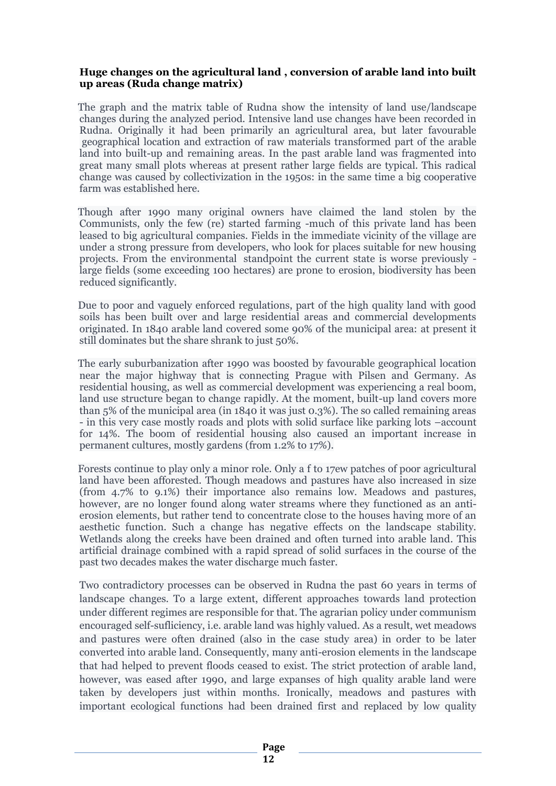#### **Huge changes on the agricultural land , conversion of arable land into built up areas (Ruda change matrix)**

The graph and the matrix table of Rudna show the intensity of land use/landscape changes during the analyzed period. Intensive land use changes have been recorded in Rudna. Originally it had been primarily an agricultural area, but later favourable geographical location and extraction of raw materials transformed part of the arable land into built-up and remaining areas. In the past arable land was fragmented into great many small plots whereas at present rather large fields are typical. This radical change was caused by collectivization in the 1950s: in the same time a big cooperative farm was established here.

Though after 1990 many original owners have claimed the land stolen by the Communists, only the few (re) started farming -much of this private land has been leased to big agricultural companies. Fields in the immediate vicinity of the village are under a strong pressure from developers, who look for places suitable for new housing projects. From the environmental standpoint the current state is worse previously large fields (some exceeding 100 hectares) are prone to erosion, biodiversity has been reduced significantly.

Due to poor and vaguely enforced regulations, part of the high quality land with good soils has been built over and large residential areas and commercial developments originated. In 1840 arable land covered some 90% of the municipal area: at present it still dominates but the share shrank to just 50%.

The early suburbanization after 1990 was boosted by favourable geographical location near the major highway that is connecting Prague with Pilsen and Germany. As residential housing, as well as commercial development was experiencing a real boom, land use structure began to change rapidly. At the moment, built-up land covers more than 5% of the municipal area (in 1840 it was just 0.3%). The so called remaining areas - in this very case mostly roads and plots with solid surface like parking lots –account for 14%. The boom of residential housing also caused an important increase in permanent cultures, mostly gardens (from 1.2% to 17%).

Forests continue to play only a minor role. Only a f to 17ew patches of poor agricultural land have been afforested. Though meadows and pastures have also increased in size (from 4.7% to 9.1%) their importance also remains low. Meadows and pastures, however, are no longer found along water streams where they functioned as an antierosion elements, but rather tend to concentrate close to the houses having more of an aesthetic function. Such a change has negative effects on the landscape stability. Wetlands along the creeks have been drained and often turned into arable land. This artificial drainage combined with a rapid spread of solid surfaces in the course of the past two decades makes the water discharge much faster.

Two contradictory processes can be observed in Rudna the past 60 years in terms of landscape changes. To a large extent, different approaches towards land protection under different regimes are responsible for that. The agrarian policy under communism encouraged self-sufliciency, i.e. arable land was highly valued. As a result, wet meadows and pastures were often drained (also in the case study area) in order to be later converted into arable land. Consequently, many anti-erosion elements in the landscape that had helped to prevent floods ceased to exist. The strict protection of arable land, however, was eased after 1990, and large expanses of high quality arable land were taken by developers just within months. Ironically, meadows and pastures with important ecological functions had been drained first and replaced by low quality